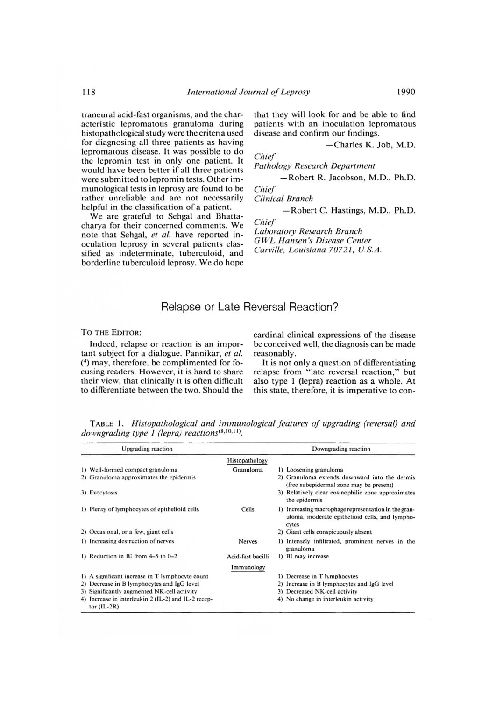TO THE EDITOR:

Indeed, relapse or reaction is an important subject for a dialogue. Pannikar, *et al.* (4) may, therefore, be complimented for focusing readers. However, it is hard to share their view, that clinically it is often difficult to differentiate between the two. Should the Figure 1.1 The Update Charlotters. However, it is hard to that clinically it is often diate between the two. Show<br>iate between the two. Show<br>... Histopathological and<br>ng type 1 (lepra) reactions<br>Upgrading reaction

cardinal clinical expressions of the disease be conceived well, the diagnosis can be made reasonably.

It is not only a question of differentiating relapse from "late reversal reaction," but also type 1 (lepra) reaction as a whole. At this state, therefore, it is imperative to con-

| <b>Upgrading</b> reaction                                            |                   | Downgrading reaction                                                                                            |
|----------------------------------------------------------------------|-------------------|-----------------------------------------------------------------------------------------------------------------|
|                                                                      | Histopathology    |                                                                                                                 |
| 1) Well-formed compact granuloma                                     | Granuloma         | 1) Loosening granuloma                                                                                          |
| 2) Granuloma approximates the epidermis                              |                   | 2) Granuloma extends downward into the dermis<br>(free subepidermal zone may be present)                        |
| 3) Exocytosis                                                        |                   | 3) Relatively clear eosinophilic zone approximates<br>the epidermis                                             |
| 1) Plenty of lymphocytes of epithelioid cells                        | Cells             | 1) Increasing macrophage representation in the gran-<br>uloma, moderate epithelioid cells, and lympho-<br>cytes |
| 2) Occasional, or a few, giant cells                                 |                   | 2) Giant cells conspicuously absent                                                                             |
| 1) Increasing destruction of nerves                                  | <b>Nerves</b>     | 1) Intensely infiltrated, prominent nerves in the<br>granuloma                                                  |
| 1) Reduction in BI from $4-5$ to $0-2$                               | Acid-fast bacilli | 1) BI may increase                                                                                              |
|                                                                      | Immunology        |                                                                                                                 |
| 1) A significant increase in T lymphocyte count                      |                   | 1) Decrease in T lymphocytes                                                                                    |
| 2) Decrease in B lymphocytes and IgG level                           |                   | 2) Increase in B lymphocytes and IgG level                                                                      |
| 3) Significantly augmented NK-cell activity                          |                   | 3) Decreased NK-cell activity                                                                                   |
| 4) Increase in interleukin 2 (IL-2) and IL-2 recep-<br>tor $(IL-2R)$ |                   | 4) No change in interleukin activity                                                                            |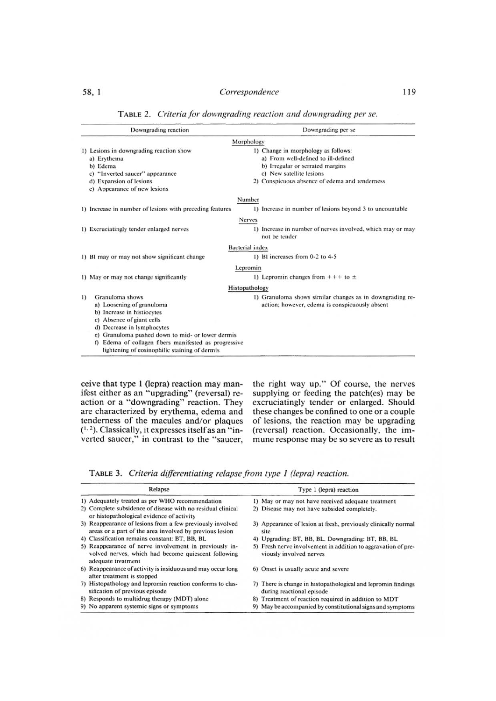| 119<br>58, 1<br>Correspondence<br>TABLE 2. Criteria for downgrading reaction and downgrading per se. |                                                            |  |
|------------------------------------------------------------------------------------------------------|------------------------------------------------------------|--|
| Downgrading reaction                                                                                 | Downgrading per se                                         |  |
|                                                                                                      | Morphology                                                 |  |
| 1) Lesions in downgrading reaction show                                                              | 1) Change in morphology as follows:                        |  |
| a) Erythema                                                                                          | a) From well-defined to ill-defined                        |  |
| b) Edema                                                                                             | b) Irregular or serrated margins                           |  |
| c) "Inverted saucer" appearance                                                                      | c) New satellite lesions                                   |  |
| d) Expansion of lesions                                                                              | 2) Conspicuous absence of edema and tenderness             |  |
| e) Appearance of new lesions                                                                         |                                                            |  |
|                                                                                                      | Number                                                     |  |
| 1) Increase in number of lesions with preceding features                                             | 1) Increase in number of lesions beyond 3 to uncountable   |  |
|                                                                                                      | Nerves                                                     |  |
| 1) Excruciatingly tender enlarged nerves                                                             | 1) Increase in number of nerves involved, which may or may |  |
|                                                                                                      | not be tender                                              |  |
|                                                                                                      | <b>Bacterial</b> index                                     |  |
| 1) BI may or may not show significant change                                                         | 1) BI increases from 0-2 to 4-5                            |  |
|                                                                                                      | Lepromin                                                   |  |
| 1) May or may not change significantly                                                               | 1) Lepromin changes from $++$ to $\pm$                     |  |
|                                                                                                      | Histopathology                                             |  |
| Granuloma shows<br>$\left  \right $                                                                  | 1) Granuloma shows similar changes as in downgrading re-   |  |
| a) Loosening of granuloma                                                                            | action; however, edema is conspicuously absent             |  |
| b) Increase in histiocytes                                                                           |                                                            |  |
| c) Absence of giant cells                                                                            |                                                            |  |
| d) Decrease in lymphocytes                                                                           |                                                            |  |
| e) Granuloma pushed down to mid- or lower dermis                                                     |                                                            |  |
| f) Edema of collagen fibers manifested as progressive                                                |                                                            |  |
| lightening of eosinophilic staining of dermis                                                        |                                                            |  |

58, 1<br> **Correspondence** 119<br>
TABLE 2. *Criteria for downgrading reaction and downgrading per se.* TABLE 2. *Criteria for downgrading reaction and downgrading per se.* 

ceive that type 1 (lepra) reaction may manifest either as an "upgrading" (reversal) reaction or a "downgrading" reaction. They are characterized by erythema, edema and tenderness of the macules and/or plaques  $(1, 2)$ . Classically, it expresses itself as an "inverted saucer," in contrast to the "saucer, macules and/or<br>macules and/or<br>expresses itself a<br>contrast to the<br>ria differentiating<br>Relapse<br>per WHO recommenda

the right way up." Of course, the nerves supplying or feeding the patch(es) may be excruciatingly tender or enlarged. Should these changes be confined to one or a couple of lesions, the reaction may be upgrading (reversal) reaction. Occasionally, the immune response may be so severe as to result

TABLE 3. *Criteria dillerentiating relapse from type 1 (lepra) reaction.*

| Relapse                                                                                                                             | Type 1 (lepra) reaction                                                                    |  |
|-------------------------------------------------------------------------------------------------------------------------------------|--------------------------------------------------------------------------------------------|--|
| 1) Adequately treated as per WHO recommendation                                                                                     | 1) May or may not have received adequate treatment                                         |  |
| 2) Complete subsidence of disease with no residual clinical<br>or histopathological evidence of activity                            | 2) Disease may not have subsided completely.                                               |  |
| 3) Reappearance of lesions from a few previously involved<br>areas or a part of the area involved by previous lesion                | 3) Appearance of lesion at fresh, previously clinically normal<br>site                     |  |
| 4) Classification remains constant: BT, BB, BL                                                                                      | 4) Upgrading: BT, BB, BL. Downgrading: BT, BB, BL                                          |  |
| 5) Reappearance of nerve involvement in previously in-<br>volved nerves, which had become quiescent following<br>adequate treatment | 5) Fresh nerve involvement in addition to aggravation of pre-<br>viously involved nerves   |  |
| 6) Reappearance of activity is insiduous and may occur long<br>after treatment is stopped                                           | 6) Onset is usually acute and severe                                                       |  |
| 7) Histopathology and lepromin reaction conforms to clas-<br>sification of previous episode                                         | 7) There is change in histopathological and lepromin findings<br>during reactional episode |  |
| 8) Responds to multidrug therapy (MDT) alone                                                                                        | 8) Treatment of reaction required in addition to MDT                                       |  |
| 9) No apparent systemic signs or symptoms                                                                                           | 9) May be accompanied by constitutional signs and symptoms                                 |  |